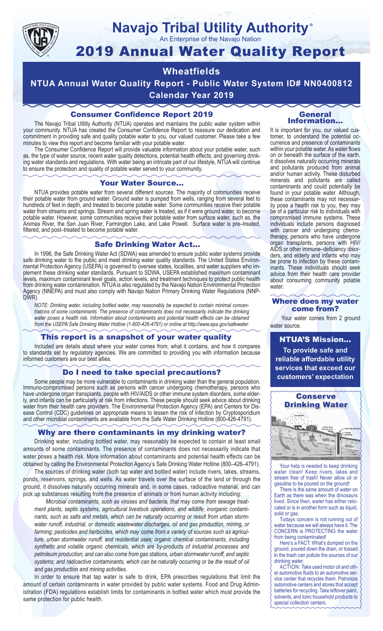

### **Navajo Tribal Utility Authority** ®

An Enterprise of the Navajo Nation

# 2019 Annual Water Quality Report

## **Wheatfields**

**NTUA Annual Water Quality Report - Public Water System ID# NN0400812 Calendar Year 2019**

## Consumer Confidence Report 2019

The Navajo Tribal Utility Authority (NTUA) operates and maintains the public water system within your community. NTUA has created the Consumer Confidence Report to reassure our dedication and commitment in providing safe and quality potable water to you, our valued customer. Please take a few minutes to view this report and become familiar with your potable water.

The Consumer Confidence Report will provide valuable information about your potable water, such as, the type of water source, recent water quality detections, potential health effects, and governing drinking water standards and regulations. With water being an intricate part of our lifestyle, NTUA will continue to ensure the protection and quality of potable water served to your community.

#### Your Water Source…

NTUA provides potable water from several different sources. The majority of communities receive their potable water from ground water. Ground water is pumped from wells, ranging from several feet to hundreds of feet in depth, and treated to become potable water. Some communities receive their potable water from streams and springs. Stream and spring water is treated, as if it were ground water, to become potable water. However, some communities receive their potable water from surface water, such as, the Animas River, the San Juan River, Farmington Lake, and Lake Powell. Surface water is pre–treated, filtered, and post–treated to become potable water.

#### Safe Drinking Water Act…

In 1996, the Safe Drinking Water Act (SDWA) was amended to ensure public water systems provide safe drinking water to the public and meet drinking water quality standards. The United States Environmental Protection Agency (USEPA) is governed to oversee states, localities, and water suppliers who implement these drinking water standards. Pursuant to SDWA, USEPA established maximum contaminant levels, maximum contaminant level goals, action levels, and treatment techniques to protect public health from drinking water contamination. NTUA is also regulated by the Navajo Nation Environmental Protection Agency (NNEPA) and must also comply with Navajo Nation Primary Drinking Water Regulations (NNP-DWR)

*NOTE: Drinking water, including bottled water, may reasonably be expected to contain minimal concentrations of some contaminants. The presence of contaminants does not necessarily indicate the drinking water poses a health risk. Information about contaminants and potential health effects can be obtained from the USEPA Safe Drinking Water Hotline (1-800-426-4791) or online at http://www.epa.gov/safewater.*

#### This report is a snapshot of your water quality

Included are details about where your water comes from, what it contains, and how it compares to standards set by regulatory agencies. We are committed to providing you with information because informed customers are our best allies.

#### Do I need to take special precautions?

Some people may be more vulnerable to contaminants in drinking water than the general population. Immuno-compromised persons such as persons with cancer undergoing chemotherapy, persons who have undergone organ transplants, people with HIV/AIDS or other immune system disorders, some elderly, and infants can be particularly at risk from infections. These people should seek advice about drinking water from their health care providers. The Environmental Protection Agency (EPA) and Centers for Disease Control (CDC) guidelines on appropriate means to lessen the risk of infection by Cryptosporidium and other microbial contaminants are available from the Safe Water Drinking Hotline (800-426-4791).

#### Why are there contaminants in my drinking water?

Drinking water, including bottled water, may reasonably be expected to contain at least small amounts of some contaminants. The presence of contaminants does not necessarily indicate that water poses a health risk. More information about contaminants and potential health effects can be obtained by calling the Environmental Protection Agency's Safe Drinking Water Hotline (800–426–4791).

The sources of drinking water (both tap water and bottled water) include rivers, lakes, streams, ponds, reservoirs, springs, and wells. As water travels over the surface of the land or through the ground, it dissolves naturally occurring minerals and, in some cases, radioactive material, and can pick up substances resulting from the presence of animals or from human activity including:

*Microbial contaminants, such as viruses and bacteria, that may come from sewage treatment plants, septic systems, agricultural livestock operations, and wildlife; inorganic contaminants, such as salts and metals, which can be naturally occurring or result from urban stormwater runoff, industrial, or domestic wastewater discharges, oil and gas production, mining, or farming; pesticides and herbicides, which may come from a variety of sources such as agriculture, urban stormwater runoff, and residential uses; organic chemical contaminants, including synthetic and volatile organic chemicals, which are by-products of industrial processes and petroleum production, and can also come from gas stations, urban stormwater runoff, and septic systems; and radioactive contaminants, which can be naturally occurring or be the result of oil and gas production and mining activities.*

In order to ensure that tap water is safe to drink, EPA prescribes regulations that limit the amount of certain contaminants in water provided by public water systems. Food and Drug Administration (FDA) regulations establish limits for contaminants in bottled water which must provide the same protection for public health.

#### General Information…

It is important for you, our valued customer, to understand the potential occurrence and presence of contaminants within your potable water. As water flows on or beneath the surface of the earth, it dissolves naturally occurring minerals and pollutants produced from animal and/or human activity. These disturbed minerals and pollutants are called contaminants and could potentially be found in your potable water. Although, these contaminants may not necessarily pose a health risk to you, they may be of a particular risk to individuals with compromised immune systems. These individuals include persons diagnosed with cancer and undergoing chemo-<br>therapy, persons who have undergone organ transplants, persons with HIV/ AIDS or other immune–deficiency disor- ders, and elderly and infants who may be prone to infection by these contam- inants. These individuals should seek advice from their health care provider about consuming community potable water.

#### Where does my water come from?

Your water comes from 2 ground water source.

NTUA'S Mission... **To provide safe and reliable affordable utility services that exceed our customers' expectation**



Your help is needed to keep drinking water clean! Keep rivers, lakes and stream free of trash! Never allow oil or gasoline to be poured on the ground!

There is the same amount of water on Earth as there was when the dinosaurs lived. Since then, water has either relocated or is in another form such as liquid, solid or gas.

Todays concern is not running out of water because we will always have it. The CONCERN is PROTECTING the water from being contaminated!

Here's a FACT: What's dumped on the ground, poured down the drain, or tossed in the trash can pollute the sources of our drinking water.

ACTION: Take used motor oil and other automotive fluids to an automotive service center that recycles them. Patronize automotive centers and stores that accept batteries for recycling. Take leftover paint, solvents, and toxic household products to special collection centers.